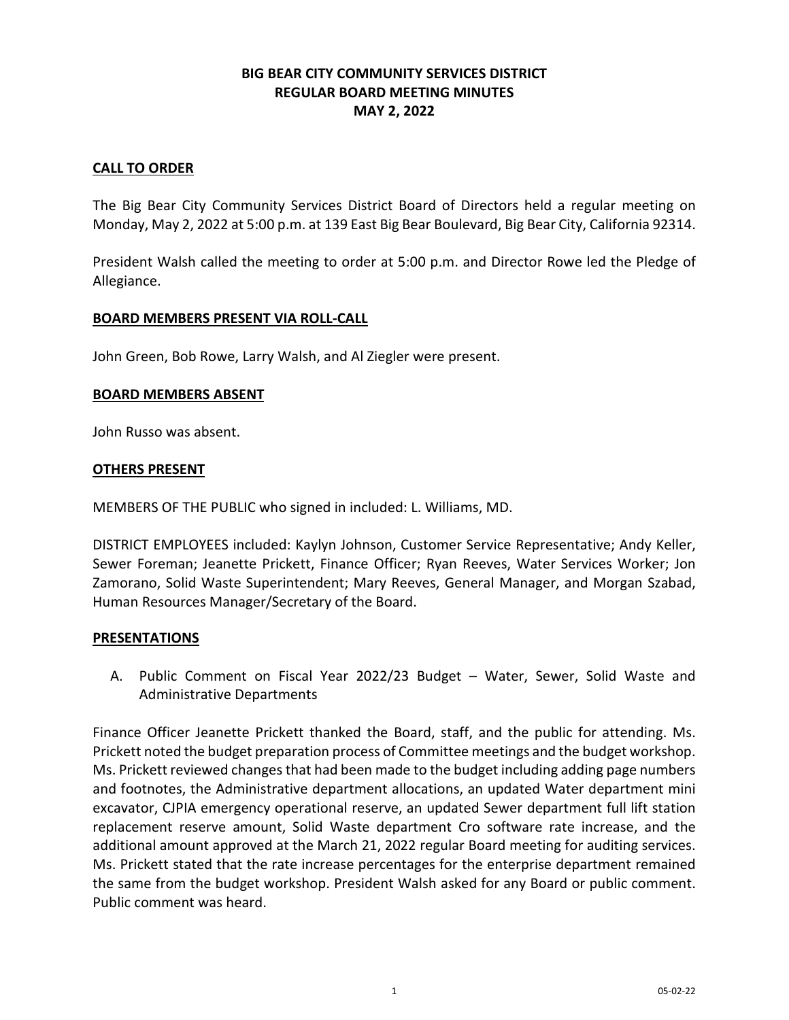# **BIG BEAR CITY COMMUNITY SERVICES DISTRICT REGULAR BOARD MEETING MINUTES MAY 2, 2022**

### **CALL TO ORDER**

The Big Bear City Community Services District Board of Directors held a regular meeting on Monday, May 2, 2022 at 5:00 p.m. at 139 East Big Bear Boulevard, Big Bear City, California 92314.

President Walsh called the meeting to order at 5:00 p.m. and Director Rowe led the Pledge of Allegiance.

### **BOARD MEMBERS PRESENT VIA ROLL-CALL**

John Green, Bob Rowe, Larry Walsh, and Al Ziegler were present.

### **BOARD MEMBERS ABSENT**

John Russo was absent.

### **OTHERS PRESENT**

MEMBERS OF THE PUBLIC who signed in included: L. Williams, MD.

DISTRICT EMPLOYEES included: Kaylyn Johnson, Customer Service Representative; Andy Keller, Sewer Foreman; Jeanette Prickett, Finance Officer; Ryan Reeves, Water Services Worker; Jon Zamorano, Solid Waste Superintendent; Mary Reeves, General Manager, and Morgan Szabad, Human Resources Manager/Secretary of the Board.

### **PRESENTATIONS**

A. Public Comment on Fiscal Year 2022/23 Budget – Water, Sewer, Solid Waste and Administrative Departments

Finance Officer Jeanette Prickett thanked the Board, staff, and the public for attending. Ms. Prickett noted the budget preparation process of Committee meetings and the budget workshop. Ms. Prickett reviewed changes that had been made to the budget including adding page numbers and footnotes, the Administrative department allocations, an updated Water department mini excavator, CJPIA emergency operational reserve, an updated Sewer department full lift station replacement reserve amount, Solid Waste department Cro software rate increase, and the additional amount approved at the March 21, 2022 regular Board meeting for auditing services. Ms. Prickett stated that the rate increase percentages for the enterprise department remained the same from the budget workshop. President Walsh asked for any Board or public comment. Public comment was heard.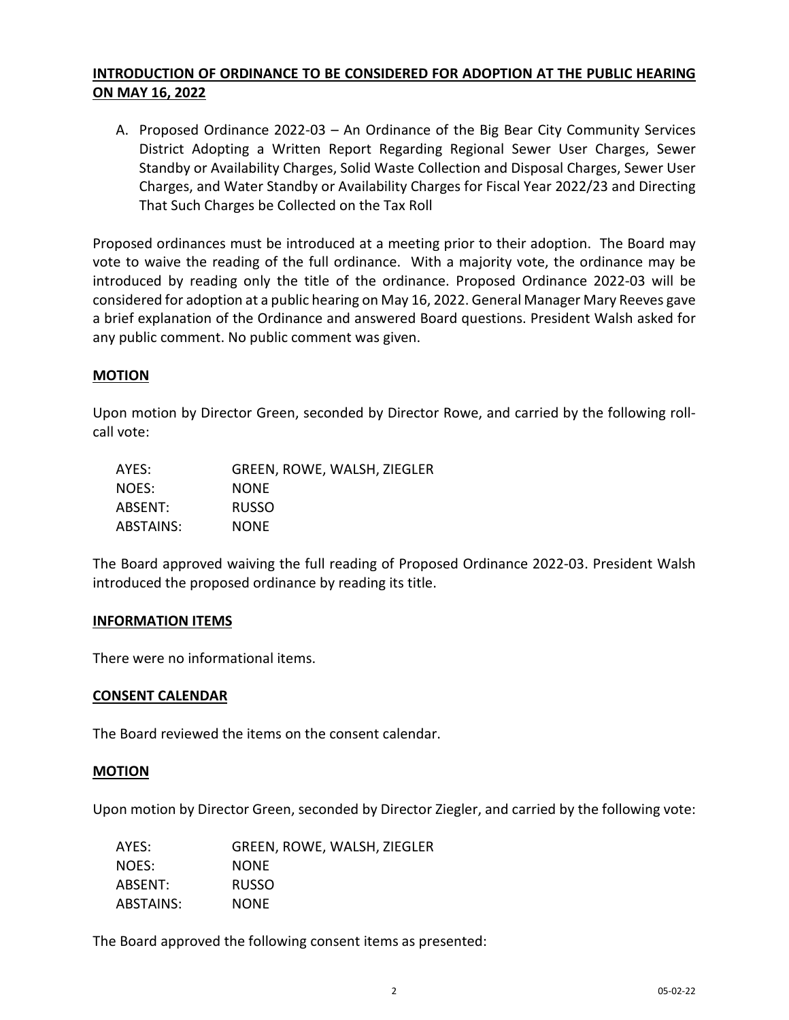# **INTRODUCTION OF ORDINANCE TO BE CONSIDERED FOR ADOPTION AT THE PUBLIC HEARING ON MAY 16, 2022**

A. Proposed Ordinance 2022-03 – An Ordinance of the Big Bear City Community Services District Adopting a Written Report Regarding Regional Sewer User Charges, Sewer Standby or Availability Charges, Solid Waste Collection and Disposal Charges, Sewer User Charges, and Water Standby or Availability Charges for Fiscal Year 2022/23 and Directing That Such Charges be Collected on the Tax Roll

Proposed ordinances must be introduced at a meeting prior to their adoption. The Board may vote to waive the reading of the full ordinance. With a majority vote, the ordinance may be introduced by reading only the title of the ordinance. Proposed Ordinance 2022-03 will be considered for adoption at a public hearing on May 16, 2022. General Manager Mary Reeves gave a brief explanation of the Ordinance and answered Board questions. President Walsh asked for any public comment. No public comment was given.

# **MOTION**

Upon motion by Director Green, seconded by Director Rowe, and carried by the following rollcall vote:

| AYES:     | GREEN, ROWE, WALSH, ZIEGLER |
|-----------|-----------------------------|
| NOES:     | <b>NONE</b>                 |
| ABSENT:   | <b>RUSSO</b>                |
| ABSTAINS: | <b>NONE</b>                 |

The Board approved waiving the full reading of Proposed Ordinance 2022-03. President Walsh introduced the proposed ordinance by reading its title.

### **INFORMATION ITEMS**

There were no informational items.

### **CONSENT CALENDAR**

The Board reviewed the items on the consent calendar.

### **MOTION**

Upon motion by Director Green, seconded by Director Ziegler, and carried by the following vote:

| AYES:     | GREEN, ROWE, WALSH, ZIEGLER |
|-----------|-----------------------------|
| NOES:     | <b>NONE</b>                 |
| ABSENT:   | <b>RUSSO</b>                |
| ABSTAINS: | <b>NONE</b>                 |

The Board approved the following consent items as presented: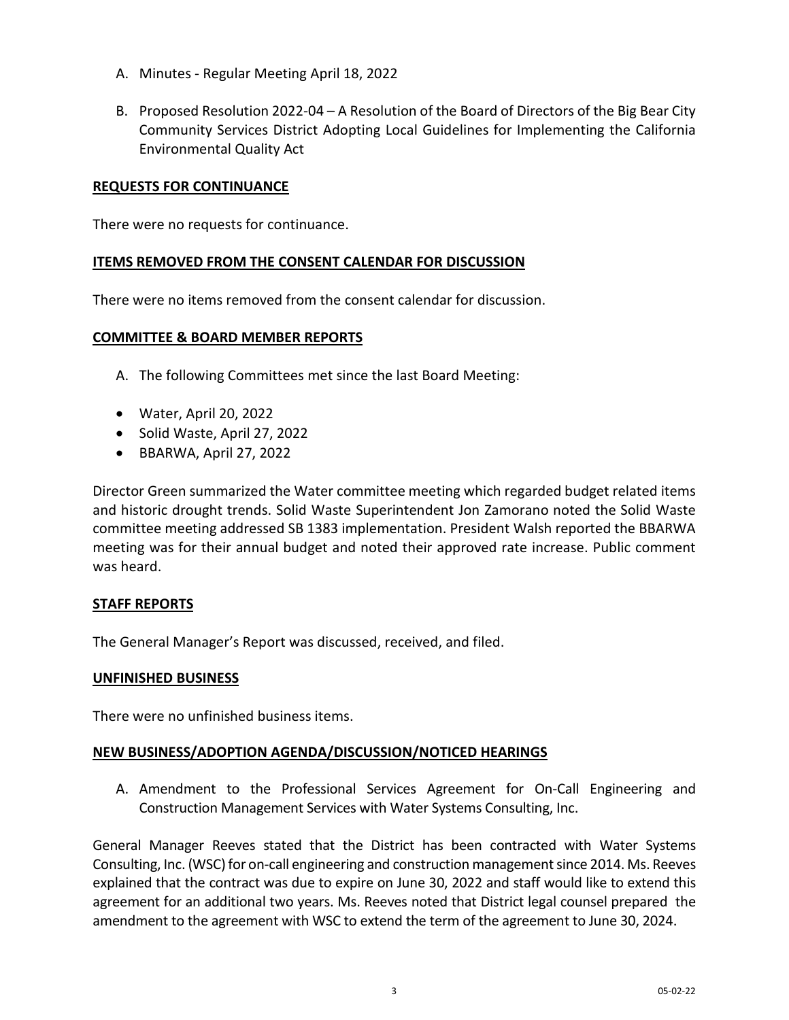- A. Minutes Regular Meeting April 18, 2022
- B. Proposed Resolution 2022-04 A Resolution of the Board of Directors of the Big Bear City Community Services District Adopting Local Guidelines for Implementing the California Environmental Quality Act

## **REQUESTS FOR CONTINUANCE**

There were no requests for continuance.

### **ITEMS REMOVED FROM THE CONSENT CALENDAR FOR DISCUSSION**

There were no items removed from the consent calendar for discussion.

### **COMMITTEE & BOARD MEMBER REPORTS**

- A. The following Committees met since the last Board Meeting:
- Water, April 20, 2022
- Solid Waste, April 27, 2022
- BBARWA, April 27, 2022

Director Green summarized the Water committee meeting which regarded budget related items and historic drought trends. Solid Waste Superintendent Jon Zamorano noted the Solid Waste committee meeting addressed SB 1383 implementation. President Walsh reported the BBARWA meeting was for their annual budget and noted their approved rate increase. Public comment was heard.

### **STAFF REPORTS**

The General Manager's Report was discussed, received, and filed.

### **UNFINISHED BUSINESS**

There were no unfinished business items.

### **NEW BUSINESS/ADOPTION AGENDA/DISCUSSION/NOTICED HEARINGS**

A. Amendment to the Professional Services Agreement for On-Call Engineering and Construction Management Services with Water Systems Consulting, Inc.

General Manager Reeves stated that the District has been contracted with Water Systems Consulting, Inc. (WSC) for on-call engineering and construction management since 2014. Ms. Reeves explained that the contract was due to expire on June 30, 2022 and staff would like to extend this agreement for an additional two years. Ms. Reeves noted that District legal counsel prepared the amendment to the agreement with WSC to extend the term of the agreement to June 30, 2024.